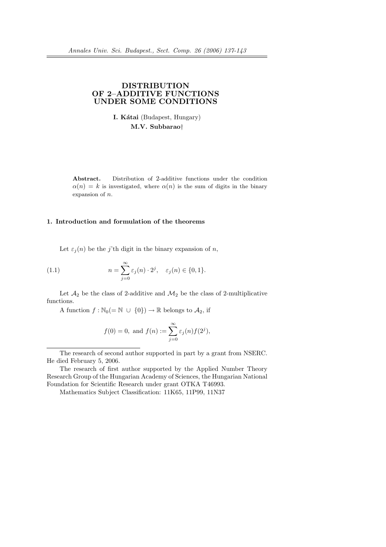# DISTRIBUTION OF 2–ADDITIVE FUNCTIONS UNDER SOME CONDITIONS

I. Kátai (Budapest, Hungary) M.V. Subbarao†

Abstract. Distribution of 2-additive functions under the condition  $\alpha(n) = k$  is investigated, where  $\alpha(n)$  is the sum of digits in the binary expansion of n.

### 1. Introduction and formulation of the theorems

Let  $\varepsilon_i(n)$  be the j'th digit in the binary expansion of n,

(1.1) 
$$
n = \sum_{j=0}^{\infty} \varepsilon_j(n) \cdot 2^j, \quad \varepsilon_j(n) \in \{0, 1\}.
$$

Let  $\mathcal{A}_2$  be the class of 2-additive and  $\mathcal{M}_2$  be the class of 2-multiplicative functions.

A function  $f : \mathbb{N}_0(=\mathbb{N} \cup \{0\}) \to \mathbb{R}$  belongs to  $\mathcal{A}_2$ , if

$$
f(0) = 0
$$
, and  $f(n) := \sum_{j=0}^{\infty} \varepsilon_j(n) f(2^j)$ ,

The research of second author supported in part by a grant from NSERC. He died February 5, 2006.

The research of first author supported by the Applied Number Theory Research Group of the Hungarian Academy of Sciences, the Hungarian National Foundation for Scientific Research under grant OTKA T46993.

Mathematics Subject Classification: 11K65, 11P99, 11N37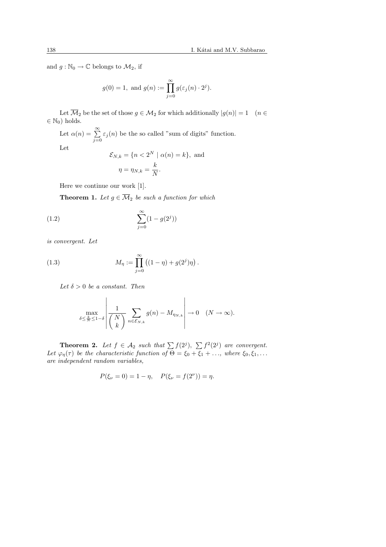and  $g : \mathbb{N}_0 \to \mathbb{C}$  belongs to  $\mathcal{M}_2$ , if

$$
g(0) = 1
$$
, and  $g(n) := \prod_{j=0}^{\infty} g(\varepsilon_j(n) \cdot 2^j)$ .

Let  $\overline{\mathcal{M}}_2$  be the set of those  $g \in \mathcal{M}_2$  for which additionally  $|g(n)| = 1$  ( $n \in$  $\in \mathbb{N}_0$ ) holds.

Let  $\alpha(n) = \sum_{n=1}^{\infty}$  $\sum_{j=0}$   $\varepsilon_j(n)$  be the so called "sum of digits" function.

Let

$$
\mathcal{E}_{N,k} = \{n < 2^N \mid \alpha(n) = k\}, \text{ and}
$$
\n
$$
\eta = \eta_{N,k} = \frac{k}{N}.
$$

Here we continue our work [1].

**Theorem 1.** Let  $g \in \overline{\mathcal{M}}_2$  be such a function for which

(1.2) 
$$
\sum_{j=0}^{\infty} (1 - g(2^{j}))
$$

is convergent. Let

(1.3) 
$$
M_{\eta} := \prod_{j=0}^{\infty} ((1 - \eta) + g(2^{j})\eta).
$$

Let  $\delta > 0$  be a constant. Then

$$
\max_{\delta \le \frac{k}{N} \le 1-\delta} \left| \frac{1}{\binom{N}{k}} \sum_{n \in \mathcal{E}_{N,k}} g(n) - M_{\eta_{N,k}} \right| \to 0 \quad (N \to \infty).
$$

**Theorem 2.** Let  $f \in \mathcal{A}_2$  such that  $\sum f(2^j)$ ,  $\sum f^2(2^j)$  are convergent. Let  $\varphi_{\eta}(\tau)$  be the characteristic function of  $\Theta = \xi_0 + \overline{\xi_1} + \ldots$ , where  $\xi_0, \xi_1, \ldots$ are independent random variables,

$$
P(\xi_{\nu} = 0) = 1 - \eta, \quad P(\xi_{\nu} = f(2^{\nu})) = \eta.
$$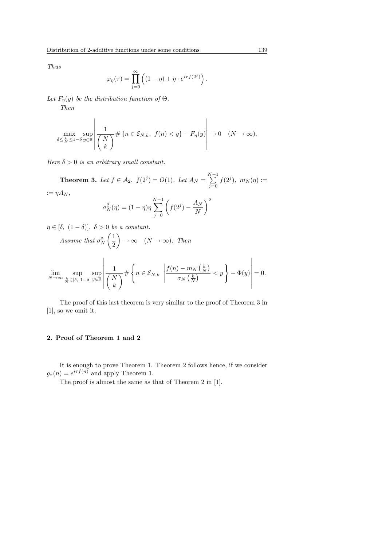Thus

$$
\varphi_{\eta}(\tau) = \prod_{j=0}^{\infty} \left( (1 - \eta) + \eta \cdot e^{i\tau f(2^j)} \right).
$$

Let  $F_{\eta}(y)$  be the distribution function of  $\Theta$ . Then

$$
\max_{\delta \leq \frac{k}{N} \leq 1-\delta} \sup_{y \in \mathbb{R}} \left| \frac{1}{\binom{N}{k}} \# \left\{ n \in \mathcal{E}_{N,k}, \ f(n) < y \right\} - F_{\eta}(y) \right| \to 0 \quad (N \to \infty).
$$

 $\overline{a}$ 

Here  $\delta > 0$  is an arbitrary small constant.

Theorem 3. Let  $f \in \mathcal{A}_2$ ,  $f(2^j) = O(1)$ . Let  $A_N = \sum_{n=1}^{N-1}$  $j=0$  $f(2^j)$ ,  $m_N(\eta) :=$  $:= \eta A_N$ .

$$
\sigma_N^2(\eta) = (1 - \eta)\eta \sum_{j=0}^{N-1} \left( f(2^j) - \frac{A_N}{N} \right)^2
$$

 $\eta \in [\delta, (1-\delta)], \delta > 0$  be a constant. Assume that  $\sigma_N^2$  $(1)$ 2  $\tilde{a}$  $\rightarrow \infty \quad (N \rightarrow \infty)$ . Then  $\lim_{N \to \infty} \sup_{\frac{k}{N} \in [\delta, 1-\delta]}$ sup y∈R  $\overline{a}$ ¯ ¯ ¯ ¯ ¯ ¯ ¯  $\frac{1}{\sqrt{1}}$ N  $\overline{+}$ #  $\overline{\phantom{a}}$  $n \in \mathcal{E}_{N,k}$  $\begin{array}{c}\n\hline\n\end{array}$  $f(n) - m_N$  $\left(\frac{k}{N}\right)$ ¢  $\sigma_N$  $rac{k}{\left(\frac{k}{N}\right)}$  $\left\{\frac{k}{N}\right\}$  <  $y\left\}$  -  $\Phi(y)$ 

k

The proof of this last theorem is very similar to the proof of Theorem 3 in 
$$
[1]
$$
, so we omit it.

#### 2. Proof of Theorem 1 and 2

It is enough to prove Theorem 1. Theorem 2 follows hence, if we consider  $g_{\tau}(n) = e^{i\tau f(n)}$  and apply Theorem 1.

The proof is almost the same as that of Theorem 2 in [1].

 $\overline{a}$ 

**↑**  $= 0.$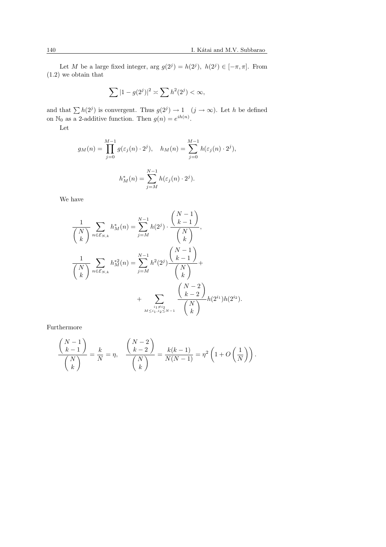Let M be a large fixed integer, arg  $g(2^j) = h(2^j)$ ,  $h(2^j) \in [-\pi, \pi]$ . From (1.2) we obtain that

$$
\sum |1 - g(2^{j})|^2 \asymp \sum h^2(2^{j}) < \infty,
$$

and that  $\sum h(2^j)$  is convergent. Thus  $g(2^j) \to 1 \quad (j \to \infty)$ . Let h be defined on  $\mathbb{N}_0$  as a 2-additive function. Then  $g(n) = e^{ih(n)}$ .

Let

$$
g_M(n) = \prod_{j=0}^{M-1} g(\varepsilon_j(n) \cdot 2^j), \quad h_M(n) = \sum_{j=0}^{M-1} h(\varepsilon_j(n) \cdot 2^j),
$$

$$
h_M^*(n) = \sum_{j=M}^{N-1} h(\varepsilon_j(n) \cdot 2^j).
$$

We have

$$
\frac{1}{\binom{N}{k}} \sum_{n \in \mathcal{E}_{N,k}} h_M^*(n) = \sum_{j=M}^{N-1} h(2^j) \cdot \frac{\binom{N-1}{k-1}}{\binom{N}{k}},
$$
\n
$$
\frac{1}{\binom{N}{k}} \sum_{n \in \mathcal{E}_{N,k}} h_M^{*2}(n) = \sum_{j=M}^{N-1} h^2(2^j) \frac{\binom{N-1}{k-1}}{\binom{N}{k}} + \sum_{\substack{i_1 \neq i_2\\M \leq i_1, i_2 \leq N-1}} \frac{\binom{N-2}{k-2}}{\binom{N}{k}} h(2^{i_1}) h(2^{i_2}).
$$

Furthermore

$$
\frac{\binom{N-1}{k-1}}{\binom{N}{k}} = \frac{k}{N} = \eta, \quad \frac{\binom{N-2}{k-2}}{\binom{N}{k}} = \frac{k(k-1)}{N(N-1)} = \eta^2 \left( 1 + O\left(\frac{1}{N}\right) \right).
$$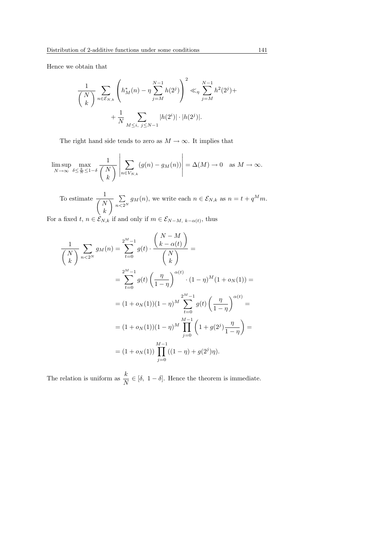Hence we obtain that

$$
\frac{1}{\binom{N}{k}} \sum_{n \in \mathcal{E}_{N,k}} \left( h_M^*(n) - \eta \sum_{j=M}^{N-1} h(2^j) \right)^2 \ll_{\eta} \sum_{j=M}^{N-1} h^2(2^j) + \\ + \frac{1}{N} \sum_{M \le i, j \le N-1} |h(2^i)| \cdot |h(2^j)|.
$$

The right hand side tends to zero as  $M \to \infty$ . It implies that

$$
\limsup_{N \to \infty} \max_{\delta \le \frac{k}{N} \le 1-\delta} \frac{1}{\binom{N}{k}} \left| \sum_{n \in V_{N,k}} (g(n) - g_M(n)) \right| = \Delta(M) \to 0 \text{ as } M \to \infty.
$$

To estimate  $\frac{1}{\sqrt{2}}$ N k  $\overline{P}$  $n<sub>2</sub>$ <sup>N</sup>  $g_M(n)$ , we write each  $n \in \mathcal{E}_{N,k}$  as  $n = t + q^M m$ .

For a fixed  $t, n \in \mathcal{E}_{N,k}$  if and only if  $m \in \mathcal{E}_{N-M, k-\alpha(t)}$ , thus

$$
\frac{1}{\binom{N}{k}} \sum_{n < 2^N} g_M(n) = \sum_{t=0}^{2^M - 1} g(t) \cdot \frac{\binom{N - M}{k - \alpha(t)}}{\binom{N}{k}} =
$$
\n
$$
= \sum_{t=0}^{2^M - 1} g(t) \left(\frac{\eta}{1 - \eta}\right)^{\alpha(t)} \cdot (1 - \eta)^M (1 + o_N(1)) =
$$
\n
$$
= (1 + o_N(1))(1 - \eta)^M \sum_{t=0}^{2^M - 1} g(t) \left(\frac{\eta}{1 - \eta}\right)^{\alpha(t)} =
$$
\n
$$
= (1 + o_N(1))(1 - \eta)^M \prod_{j=0}^{M-1} \left(1 + g(2^j) \frac{\eta}{1 - \eta}\right) =
$$
\n
$$
= (1 + o_N(1)) \prod_{j=0}^{M-1} ((1 - \eta) + g(2^j)\eta).
$$

The relation is uniform as  $\frac{k}{N} \in [\delta, 1-\delta]$ . Hence the theorem is immediate.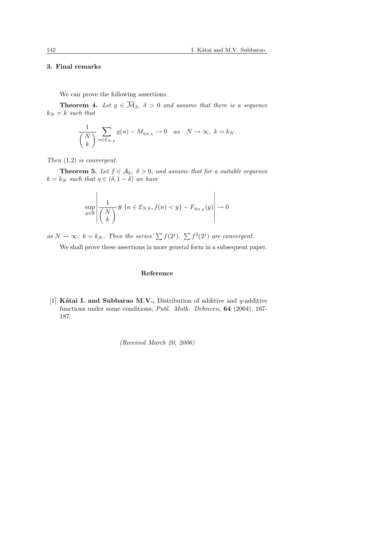$\overline{a}$ 

#### 3. Final remarks

We can prove the following assertions.

**Theorem 4.** Let  $g \in \overline{\mathcal{M}}_2$ ,  $\delta > 0$  and assume that there is a sequence  $k_N = k$  such that

$$
\frac{1}{\binom{N}{k}} \sum_{n \in \mathcal{E}_{N,k}} g(n) - M_{\eta_{N,k}} \to 0 \quad as \quad N \to \infty, \ k = k_N.
$$

Then (1.2) is convergent.

**Theorem 5.** Let  $f \in A_2$ ,  $\delta > 0$ , and assume that for a suitable sequence  $k = k_N$  such that  $\eta \in (\delta, 1 - \delta)$  we have

$$
\sup_{y \in \mathbb{R}} \left| \frac{1}{\binom{N}{k}} \# \left\{ n \in \mathcal{E}_{N,k} , f(n) < y \right\} - F_{\eta_{N,k}}(y) \right| \to 0
$$

as  $N \to \infty$ ,  $k = k_N$ . Then the series'  $\sum f(2^j)$ ,  $\sum f^2(2^j)$  are convergent.

We shall prove these assertions in more general form in a subsequent paper.

### Reference

[1] Kátai I. and Subbarao M.V., Distribution of additive and  $q$ -additive functions under some conditions, Publ. Math. Debrecen, 64 (2004), 167- 187.

(Received March 20, 2006)